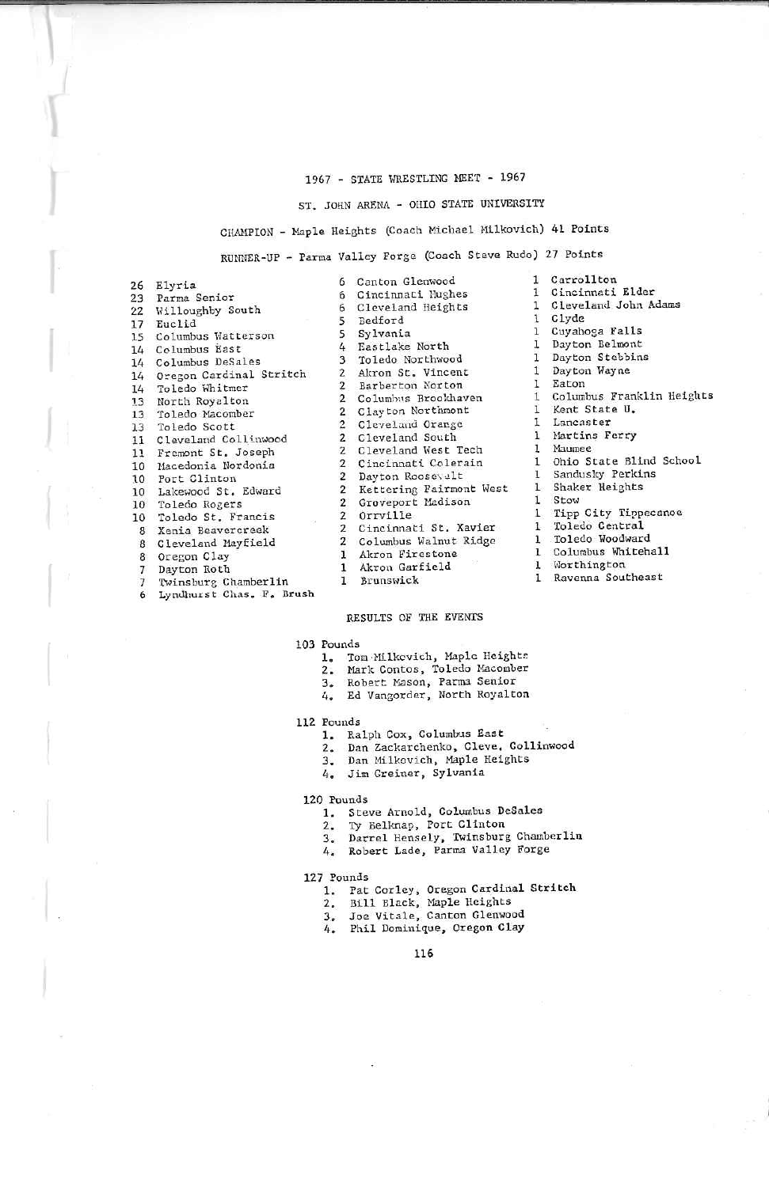### 1967 - STATE WRESTLING MEET - 1967

# ST. JOHN ARENA - OHIO STATE UNIVERSITY

# CHAMPION - Maple Heights (Coach Michael Milkovich) 41 Points

RUNNER-UP - Parma Valley Forge (Coach Steve Rudo) 27 Points

|                          | 26 Elyria                  |
|--------------------------|----------------------------|
|                          | 23 Parma Senior            |
|                          | 22 Willoughby South        |
|                          | 17 Euclid                  |
|                          | 15 Columbus Watterson      |
|                          | 14 Columbus East           |
|                          | 14 Columbus DeSales        |
|                          | 14 Oregon Cardinal Stritch |
| 14                       | Toledo Whitmer             |
|                          | 13 North Royalton          |
|                          | 13 Toledo Macomber         |
|                          | 13 Toledo Scott            |
|                          | 11 Cleveland Collinwood    |
|                          | 11 Fremont St. Joseph      |
|                          | 10 Macedonia Nordonia      |
|                          | 10 Port Clinton            |
| 10                       | Lakewood St. Edward        |
|                          | 10 Toledo Rogers           |
|                          | 10 Toledo St. Francis<br>8 |
|                          | 8 Xenia Beavercreek        |
| 8                        | Cleveland Mayfield         |
|                          | 8 Oregon Clay              |
| $\overline{\phantom{a}}$ | Dayton Roth                |
| $\overline{7}$           | Twinsburg Chamberlin       |
| 6                        | Lyndhurst Chas. F. Brush   |

| 6              | Canton Glenwood         |
|----------------|-------------------------|
|                | 6 Cincinnati Hughes     |
|                | 6 Cleveland Heights     |
|                | 5 Bedford               |
| S.             | Sylvania                |
|                | 4 Eastlake North        |
|                | 3 Toledo Northwood      |
|                | 2 Akron St. Vincent     |
|                | 2 Barberton Norton      |
| $\overline{2}$ | Columbus Brookhaven     |
| $\overline{2}$ | Clayton Northmont       |
|                | 2 Cleveland Orange      |
| $\overline{2}$ | Cleveland South         |
| $\mathbf{Z}$   | Cleveland West Tech     |
| $\overline{2}$ | Cincinnati Colerain     |
| $\overline{2}$ | Dayton Roosevelt        |
| $\overline{2}$ | Kettering Fairmont West |
| $\overline{2}$ | Groveport Madison       |
| $\overline{2}$ | Orrville                |
| $\overline{2}$ | Cincinnati St. Xavier   |
| $\mathbf{2}$   | Columbus Walnut Ridge   |
| $\mathbf{1}$   | Akron Firestone         |
| $\mathbf{1}$   | 23<br>Akron Garfield    |
| ı              | Brunswick               |

#### $\mathbf{1}$ Carrollton Cincinnati Elder  $\mathbf{I}$ Cleveland John Adams  $\mathbf 1$ Clyde  $\mathbf{1}$  $\mathbf{L}$ Cuyahoga Falls 1 Dayton Belmont Dayton Stebbins  $\mathbf{1}$ Dayton Wayne  $\mathbf{1}$ 1 Eaton Columbus Franklin Heights  $\mathbf{1}$ Kent State U.  $\mathbf{1}$  $\mathbf{I}$ Lancaster  $\mathbf{1}$ Martins Ferry 1 Maumee 1 Ohio State Blind School Sandusky Perkins  $\mathbf{I}$ 1 Shaker Heights 1 Stow Tipp City Tippecanoe  $\mathbf{1}$ 1 Toledo Central Toledo Woodward  $\mathbf{1}^-$ 1 Columbus Whitehall 1 Worthington 1 Ravenna Southeast

### RESULTS OF THE EVENTS

#### 103 Pounds

- 1. Tom Milkovich, Maple Heights<br>2. Mark Contos, Toledo Macomber
- 
- 
- 3. Robert Mason, Parma Senior<br>4. Ed Vangorder, North Royalton

#### 112 Pounds

- 1. Ralph Cox, Columbus East
- 2. Dan Zackarchenko, Cleve. Collinwood
- 3. Dan Milkovich, Maple Heights<br>4. Jim Greiner, Sylvania
- 

#### 120 Pounds

- 1. Steve Arnold, Columbus DeSales
- Ty Belknap, Port Clinton
- 2. Ty Belknap, Port Clinton<br>3. Darrel Hensely, Twinsburg Chamberlin<br>2. The Mariley Wallow Force
- 4. Robert Lade, Parma Valley Forge

#### 127 Pounds

- 1. Pat Corley, Oregon Cardinal Stritch<br>2. Bill Black, Maple Heights<br>3. Joe Vitale, Canton Glenwood
- 
- 
- 4. Phil Dominique, Oregon Clay

### 116